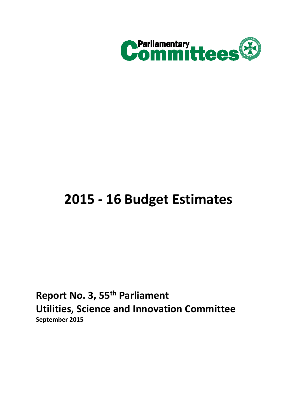

# **2015 - 16 Budget Estimates**

**Report No. 3, 55th Parliament Utilities, Science and Innovation Committee September 2015**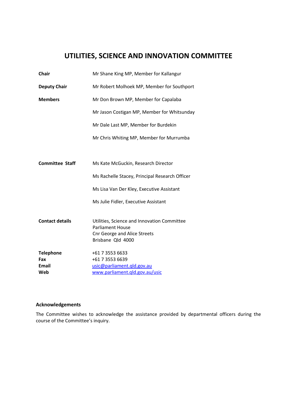# **UTILITIES, SCIENCE AND INNOVATION COMMITTEE**

| <b>Chair</b>           | Mr Shane King MP, Member for Kallangur                                 |
|------------------------|------------------------------------------------------------------------|
| <b>Deputy Chair</b>    | Mr Robert Molhoek MP, Member for Southport                             |
| <b>Members</b>         | Mr Don Brown MP, Member for Capalaba                                   |
|                        | Mr Jason Costigan MP, Member for Whitsunday                            |
|                        | Mr Dale Last MP, Member for Burdekin                                   |
|                        | Mr Chris Whiting MP, Member for Murrumba                               |
|                        |                                                                        |
| <b>Committee Staff</b> | Ms Kate McGuckin, Research Director                                    |
|                        | Ms Rachelle Stacey, Principal Research Officer                         |
|                        | Ms Lisa Van Der Kley, Executive Assistant                              |
|                        | Ms Julie Fidler, Executive Assistant                                   |
|                        |                                                                        |
| <b>Contact details</b> | Utilities, Science and Innovation Committee<br><b>Parliament House</b> |
|                        | <b>Cnr George and Alice Streets</b>                                    |
|                        | Brisbane Qld 4000                                                      |
| <b>Telephone</b>       | +61 7 3553 6633                                                        |
| Fax                    | +61 7 3553 6639                                                        |
| <b>Email</b>           | usic@parliament.qld.gov.au                                             |
| Web                    | www.parliament.qld.gov.au/usic                                         |

#### **Acknowledgements**

The Committee wishes to acknowledge the assistance provided by departmental officers during the course of the Committee's inquiry.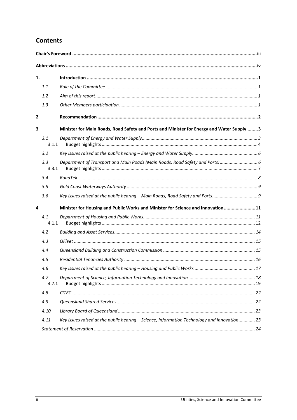# **Contents**

| 1.           |              |                                                                                             |  |
|--------------|--------------|---------------------------------------------------------------------------------------------|--|
|              | 1.1          |                                                                                             |  |
|              | 1.2          |                                                                                             |  |
|              | 1.3          |                                                                                             |  |
| $\mathbf{2}$ |              |                                                                                             |  |
| 3            |              | Minister for Main Roads, Road Safety and Ports and Minister for Energy and Water Supply 3   |  |
|              | 3.1<br>3.1.1 |                                                                                             |  |
|              | 3.2          |                                                                                             |  |
|              | 3.3<br>3.3.1 |                                                                                             |  |
|              | 3.4          |                                                                                             |  |
|              | 3.5          |                                                                                             |  |
|              | 3.6          | Key issues raised at the public hearing - Main Roads, Road Safety and Ports                 |  |
| 4            |              | Minister for Housing and Public Works and Minister for Science and Innovation11             |  |
|              | 4.1<br>4.1.1 |                                                                                             |  |
|              | 4.2          |                                                                                             |  |
|              | 4.3          |                                                                                             |  |
|              | 4.4          |                                                                                             |  |
|              | 4.5          |                                                                                             |  |
|              | 4.6          |                                                                                             |  |
|              | 4.7<br>4.7.1 |                                                                                             |  |
|              | 4.8          |                                                                                             |  |
|              | 4.9          |                                                                                             |  |
|              | 4.10         |                                                                                             |  |
|              | 4.11         | Key issues raised at the public hearing - Science, Information Technology and Innovation 23 |  |
|              |              |                                                                                             |  |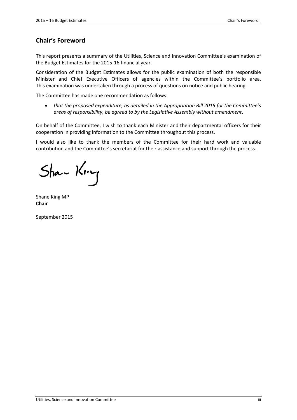# **Chair's Foreword**

This report presents a summary of the Utilities, Science and Innovation Committee's examination of the Budget Estimates for the 2015-16 financial year.

Consideration of the Budget Estimates allows for the public examination of both the responsible Minister and Chief Executive Officers of agencies within the Committee's portfolio area. This examination was undertaken through a process of questions on notice and public hearing.

The Committee has made one recommendation as follows:

• *that the proposed expenditure, as detailed in the Appropriation Bill 2015 for the Committee's areas of responsibility, be agreed to by the Legislative Assembly without amendment*.

On behalf of the Committee, I wish to thank each Minister and their departmental officers for their cooperation in providing information to the Committee throughout this process.

I would also like to thank the members of the Committee for their hard work and valuable contribution and the Committee's secretariat for their assistance and support through the process.

 $Sha-$  King

Shane King MP **Chair** 

September 2015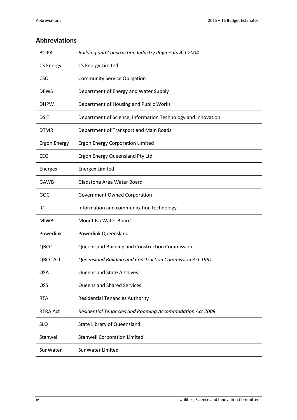# **Abbreviations**

| <b>BCIPA</b>        | Building and Construction Industry Payments Act 2004         |
|---------------------|--------------------------------------------------------------|
| <b>CS Energy</b>    | <b>CS Energy Limited</b>                                     |
| <b>CSO</b>          | <b>Community Service Obligation</b>                          |
| <b>DEWS</b>         | Department of Energy and Water Supply                        |
| <b>DHPW</b>         | Department of Housing and Public Works                       |
| <b>DSITI</b>        | Department of Science, Information Technology and Innovation |
| <b>DTMR</b>         | Department of Transport and Main Roads                       |
| <b>Ergon Energy</b> | <b>Ergon Energy Corporation Limited</b>                      |
| EEQ                 | Ergon Energy Queensland Pty Ltd                              |
| Energex             | <b>Energex Limited</b>                                       |
| GAWB                | Gladstone Area Water Board                                   |
| GOC                 | Government Owned Corporation                                 |
| ICT                 | Information and communication technology                     |
| <b>MIWB</b>         | Mount Isa Water Board                                        |
| Powerlink           | <b>Powerlink Queensland</b>                                  |
| QBCC                | Queensland Building and Construction Commission              |
| <b>QBCC Act</b>     | Queensland Building and Construction Commission Act 1991     |
| QSA                 | <b>Queensland State Archives</b>                             |
| QSS                 | <b>Queensland Shared Services</b>                            |
| <b>RTA</b>          | <b>Residential Tenancies Authority</b>                       |
| <b>RTRA Act</b>     | Residential Tenancies and Rooming Accommodation Act 2008     |
| <b>SLQ</b>          | <b>State Library of Queensland</b>                           |
| Stanwell            | <b>Stanwell Corporation Limited</b>                          |
| SunWater            | SunWater Limited                                             |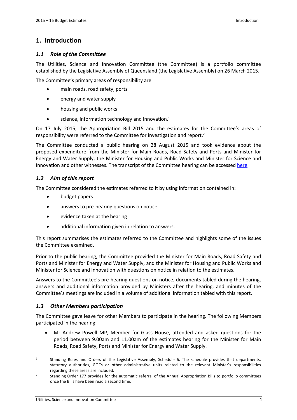# **1. Introduction**

### *1.1 Role of the Committee*

The Utilities, Science and Innovation Committee (the Committee) is a portfolio committee established by the Legislative Assembly of Queensland (the Legislative Assembly) on 26 March 2015.

The Committee's primary areas of responsibility are:

- main roads, road safety, ports
- energy and water supply
- housing and public works
- science, information technology and innovation.<sup>1</sup>

On 17 July 2015, the Appropriation Bill 2015 and the estimates for the Committee's areas of responsibility were referred to the Committee for investigation and report.<sup>2</sup>

The Committee conducted a public hearing on 28 August 2015 and took evidence about the proposed expenditure from the Minister for Main Roads, Road Safety and Ports and Minister for Energy and Water Supply, the Minister for Housing and Public Works and Minister for Science and Innovation and other witnesses. The transcript of the Committee hearing can be accessed here.

# *1.2 Aim of this report*

The Committee considered the estimates referred to it by using information contained in:

- budget papers
- answers to pre-hearing questions on notice
- evidence taken at the hearing
- additional information given in relation to answers.

This report summarises the estimates referred to the Committee and highlights some of the issues the Committee examined.

Prior to the public hearing, the Committee provided the Minister for Main Roads, Road Safety and Ports and Minister for Energy and Water Supply, and the Minister for Housing and Public Works and Minister for Science and Innovation with questions on notice in relation to the estimates.

Answers to the Committee's pre-hearing questions on notice, documents tabled during the hearing, answers and additional information provided by Ministers after the hearing, and minutes of the Committee's meetings are included in a volume of additional information tabled with this report.

#### *1.3 Other Members participation*

The Committee gave leave for other Members to participate in the hearing. The following Members participated in the hearing:

• Mr Andrew Powell MP, Member for Glass House, attended and asked questions for the period between 9.00am and 11.00am of the estimates hearing for the Minister for Main Roads, Road Safety, Ports and Minister for Energy and Water Supply.

<sup>1</sup> Standing Rules and Orders of the Legislative Assembly, Schedule 6. The schedule provides that departments, statutory authorities, GOCs or other administrative units related to the relevant Minister's responsibilities regarding these areas are included.

<sup>2</sup> Standing Order 177 provides for the automatic referral of the Annual Appropriation Bills to portfolio committees once the Bills have been read a second time.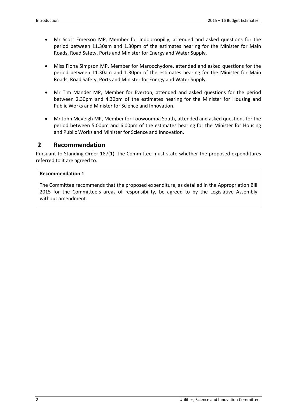- Mr Scott Emerson MP, Member for Indooroopilly, attended and asked questions for the period between 11.30am and 1.30pm of the estimates hearing for the Minister for Main Roads, Road Safety, Ports and Minister for Energy and Water Supply.
- Miss Fiona Simpson MP, Member for Maroochydore, attended and asked questions for the period between 11.30am and 1.30pm of the estimates hearing for the Minister for Main Roads, Road Safety, Ports and Minister for Energy and Water Supply.
- Mr Tim Mander MP, Member for Everton, attended and asked questions for the period between 2.30pm and 4.30pm of the estimates hearing for the Minister for Housing and Public Works and Minister for Science and Innovation.
- Mr John McVeigh MP, Member for Toowoomba South, attended and asked questions for the period between 5.00pm and 6.00pm of the estimates hearing for the Minister for Housing and Public Works and Minister for Science and Innovation.

# **2 Recommendation**

Pursuant to Standing Order 187(1), the Committee must state whether the proposed expenditures referred to it are agreed to.

#### **Recommendation 1**

The Committee recommends that the proposed expenditure, as detailed in the Appropriation Bill 2015 for the Committee's areas of responsibility, be agreed to by the Legislative Assembly without amendment.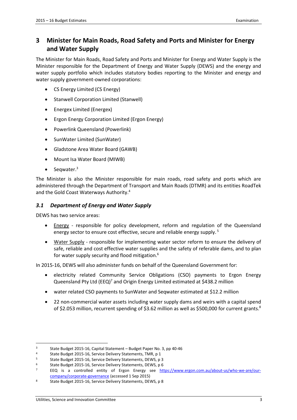# **3 Minister for Main Roads, Road Safety and Ports and Minister for Energy and Water Supply**

The Minister for Main Roads, Road Safety and Ports and Minister for Energy and Water Supply is the Minister responsible for the Department of Energy and Water Supply (DEWS) and the energy and water supply portfolio which includes statutory bodies reporting to the Minister and energy and water supply government-owned corporations:

- CS Energy Limited (CS Energy)
- Stanwell Corporation Limited (Stanwell)
- Energex Limited (Energex)
- Ergon Energy Corporation Limited (Ergon Energy)
- Powerlink Queensland (Powerlink)
- SunWater Limited (SunWater)
- Gladstone Area Water Board (GAWB)
- Mount Isa Water Board (MIWB)
- Seqwater. $3$

The Minister is also the Minister responsible for main roads, road safety and ports which are administered through the Department of Transport and Main Roads (DTMR) and its entities RoadTek and the Gold Coast Waterways Authority.<sup>4</sup>

#### *3.1 Department of Energy and Water Supply*

DEWS has two service areas:

- Energy responsible for policy development, reform and regulation of the Queensland energy sector to ensure cost effective, secure and reliable energy supply.<sup>5</sup>
- Water Supply responsible for implementing water sector reform to ensure the delivery of safe, reliable and cost effective water supplies and the safety of referable dams, and to plan for water supply security and flood mitigation.<sup>6</sup>

In 2015-16, DEWS will also administer funds on behalf of the Queensland Government for:

- electricity related Community Service Obligations (CSO) payments to Ergon Energy Queensland Pty Ltd (EEQ)<sup>7</sup> and Origin Energy Limited estimated at \$438.2 million
- water related CSO payments to SunWater and Seqwater estimated at \$12.2 million
- 22 non-commercial water assets including water supply dams and weirs with a capital spend of \$2.053 million, recurrent spending of \$3.62 million as well as \$500,000 for current grants.<sup>8</sup>

<sup>3</sup> State Budget 2015-16, Capital Statement – Budget Paper No. 3, pp 40-46

<sup>4</sup> State Budget 2015-16, Service Delivery Statements, TMR, p 1

<sup>5</sup> State Budget 2015-16, Service Delivery Statements, DEWS, p 3

<sup>6</sup> State Budget 2015-16, Service Delivery Statements, DEWS, p 6

<sup>7</sup> EEQ is a controlled entity of Ergon Energy see https://www.ergon.com.au/about-us/who-we-are/ourcompany/corporate-governance (accessed 1 Sep 2015)

<sup>8</sup> State Budget 2015-16, Service Delivery Statements, DEWS, p 8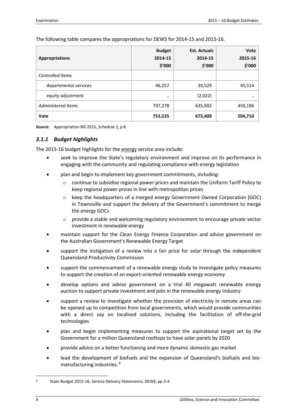The following table compares the appropriations for DEWS for 2014-15 and 2015-16.

| <b>Appropriations</b>   | <b>Budget</b><br>2014-15<br>\$'000 | <b>Est. Actuals</b><br>2014-15<br>\$'000 | Vote<br>2015-16<br>\$'000 |
|-------------------------|------------------------------------|------------------------------------------|---------------------------|
| <b>Controlled Items</b> |                                    |                                          |                           |
| departmental services   | 46,257                             | 39,529                                   | 45,514                    |
| equity adjustment       | $\cdot$                            | (2,022)                                  |                           |
| Administered Items      | 707,278                            | 635,902                                  | 459,196                   |
| Vote                    | 753,535                            | 673,409                                  | 504,710                   |

**Source**: Appropriation Bill 2015, Schedule 2, p 8

# *3.1.1 Budget highlights*

The 2015-16 budget highlights for the energy service area include:

- seek to improve the State's regulatory environment and improve on its performance in engaging with the community and regulating compliance with energy legislation
- plan and begin to implement key government commitments, including:
	- o continue to subsidise regional power prices and maintain the Uniform Tariff Policy to keep regional power prices in line with metropolitan prices
	- o keep the headquarters of a merged energy Government Owned Corporation (GOC) in Townsville and support the delivery of the Government's commitment to merge the energy GOCs
	- provide a stable and welcoming regulatory environment to encourage private sector investment in renewable energy
- maintain support for the Clean Energy Finance Corporation and advise government on the Australian Government's Renewable Energy Target
- support the instigation of a review into a fair price for solar through the independent Queensland Productivity Commission
- support the commencement of a renewable energy study to investigate policy measures to support the creation of an export-oriented renewable energy economy
- develop options and advise government on a trial 40 megawatt renewable energy auction to support private investment and jobs in the renewable energy industry
- support a review to investigate whether the provision of electricity in remote areas can be opened up to competition from local governments, which would provide communities with a direct say on localised solutions, including the facilitation of off-the-grid technologies
- plan and begin implementing measures to support the aspirational target set by the Government for a million Queensland rooftops to have solar panels by 2020
- provide advice on a better functioning and more dynamic domestic gas market
- lead the development of biofuels and the expansion of Queensland's biofuels and biomanufacturing industries.<sup>9</sup>

<u>.</u>

<sup>9</sup> State Budget 2015-16, Service Delivery Statements, DEWS, pp 3-4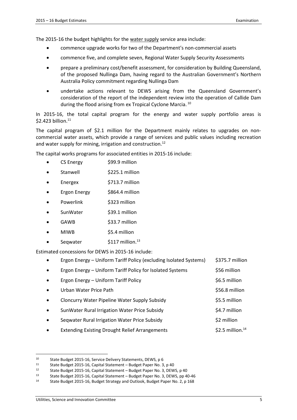The 2015-16 the budget highlights for the water supply service area include:

- commence upgrade works for two of the Department's non-commercial assets
- commence five, and complete seven, Regional Water Supply Security Assessments
- prepare a preliminary cost/benefit assessment, for consideration by Building Queensland, of the proposed Nullinga Dam, having regard to the Australian Government's Northern Australia Policy commitment regarding Nullinga Dam
- undertake actions relevant to DEWS arising from the Queensland Government's consideration of the report of the independent review into the operation of Callide Dam during the flood arising from ex Tropical Cyclone Marcia.<sup>10</sup>

In 2015-16, the total capital program for the energy and water supply portfolio areas is \$2.423 billion.<sup>11</sup>

The capital program of \$2.1 million for the Department mainly relates to upgrades on noncommercial water assets, which provide a range of services and public values including recreation and water supply for mining, irrigation and construction.<sup>12</sup>

The capital works programs for associated entities in 2015-16 include:

- CS Energy \$99.9 million
- Stanwell \$225.1 million
- Energex \$713.7 million
- Ergon Energy \$864.4 million
- Powerlink 5323 million
- SunWater \$39.1 million
- GAWB \$33.7 million
- MIWB \$5.4 million
- Seqwater \$117 million.<sup>13</sup>

Estimated concessions for DEWS in 2015-16 include:

|           | Ergon Energy - Uniform Tariff Policy (excluding Isolated Systems) | \$375.7 million        |
|-----------|-------------------------------------------------------------------|------------------------|
| $\bullet$ | Ergon Energy - Uniform Tariff Policy for Isolated Systems         | \$56 million           |
| $\bullet$ | Ergon Energy - Uniform Tariff Policy                              | \$6.5 million          |
| $\bullet$ | Urban Water Price Path                                            | \$56.8 million         |
| $\bullet$ | <b>Cloncurry Water Pipeline Water Supply Subsidy</b>              | \$5.5 million          |
| $\bullet$ | SunWater Rural Irrigation Water Price Subsidy                     | \$4.7 million          |
| $\bullet$ | Seqwater Rural Irrigation Water Price Subsidy                     | \$2 million            |
|           | <b>Extending Existing Drought Relief Arrangements</b>             | \$2.5 million. $^{14}$ |

<sup>10</sup> State Budget 2015-16, Service Delivery Statements, DEWS, p 6<br>11 State Budget 2015-16, Capital Statement – Budget Baper No. 2

<sup>11</sup> State Budget 2015-16, Capital Statement – Budget Paper No. 3, p 40<br>12 State Budget 2015-16, Capital Statement - Budget Paper No. 3, DEM

State Budget 2015-16, Capital Statement – Budget Paper No. 3, DEWS, p 40

<sup>13</sup> State Budget 2015-16, Capital Statement – Budget Paper No. 3, DEWS, pp 40-46

<sup>14</sup> State Budget 2015-16, Budget Strategy and Outlook, Budget Paper No. 2, p 168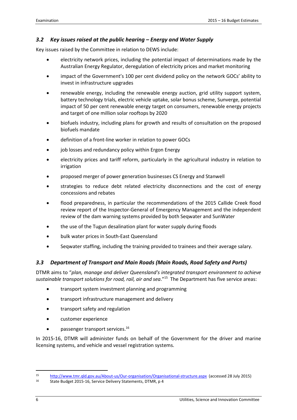# *3.2 Key issues raised at the public hearing – Energy and Water Supply*

Key issues raised by the Committee in relation to DEWS include:

- electricity network prices, including the potential impact of determinations made by the Australian Energy Regulator, deregulation of electricity prices and market monitoring
- impact of the Government's 100 per cent dividend policy on the network GOCs' ability to invest in infrastructure upgrades
- renewable energy, including the renewable energy auction, grid utility support system, battery technology trials, electric vehicle uptake, solar bonus scheme, Sunverge, potential impact of 50 per cent renewable energy target on consumers, renewable energy projects and target of one million solar rooftops by 2020
- biofuels industry, including plans for growth and results of consultation on the proposed biofuels mandate
- definition of a front-line worker in relation to power GOCs
- job losses and redundancy policy within Ergon Energy
- electricity prices and tariff reform, particularly in the agricultural industry in relation to irrigation
- proposed merger of power generation businesses CS Energy and Stanwell
- strategies to reduce debt related electricity disconnections and the cost of energy concessions and rebates
- flood preparedness, in particular the recommendations of the 2015 Callide Creek flood review report of the Inspector-General of Emergency Management and the independent review of the dam warning systems provided by both Seqwater and SunWater
- the use of the Tugun desalination plant for water supply during floods
- bulk water prices in South-East Queensland
- Seqwater staffing, including the training provided to trainees and their average salary.

#### *3.3 Department of Transport and Main Roads (Main Roads, Road Safety and Ports)*

DTMR aims to "*plan, manage and deliver Queensland's integrated transport environment to achieve sustainable transport solutions for road, rail, air and sea*."<sup>15</sup> The Department has five service areas:

- transport system investment planning and programming
- transport infrastructure management and delivery
- transport safety and regulation
- customer experience
- passenger transport services.<sup>16</sup>

In 2015-16, DTMR will administer funds on behalf of the Government for the driver and marine licensing systems, and vehicle and vessel registration systems.

<sup>15</sup> http://www.tmr.qld.gov.au/About-us/Our-organisation/Organisational-structure.aspx (accessed 28 July 2015)

<sup>16</sup> State Budget 2015-16, Service Delivery Statements, DTMR, p 4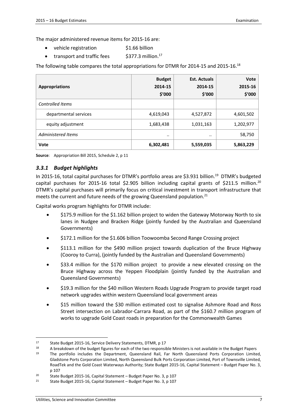The major administered revenue items for 2015-16 are:

- vehicle registration \$1.66 billion
- transport and traffic fees  $$377.3$  million.<sup>17</sup>

The following table compares the total appropriations for DTMR for 2014-15 and 2015-16.<sup>18</sup>

| <b>Appropriations</b>   | <b>Budget</b><br>2014-15<br>\$′000 | <b>Est. Actuals</b><br>2014-15<br>\$'000 | Vote<br>2015-16<br>\$′000 |
|-------------------------|------------------------------------|------------------------------------------|---------------------------|
| <b>Controlled Items</b> |                                    |                                          |                           |
| departmental services   | 4,619,043                          | 4,527,872                                | 4,601,502                 |
| equity adjustment       | 1,683,438                          | 1,031,163                                | 1,202,977                 |
| Administered Items      | $\cdot \cdot$                      | $\cdot \cdot$                            | 58,750                    |
| Vote                    | 6,302,481                          | 5,559,035                                | 5,863,229                 |

**Source**: Appropriation Bill 2015, Schedule 2, p 11

#### *3.3.1 Budget highlights*

In 2015-16, total capital purchases for DTMR's portfolio areas are \$3.931 billion.<sup>19</sup> DTMR's budgeted capital purchases for 2015-16 total \$2.905 billion including capital grants of \$211.5 million.<sup>20</sup> DTMR's capital purchases will primarily focus on critical investment in transport infrastructure that meets the current and future needs of the growing Queensland population.<sup>21</sup>

Capital works program highlights for DTMR include:

- \$175.9 million for the \$1.162 billion project to widen the Gateway Motorway North to six lanes in Nudgee and Bracken Ridge (jointly funded by the Australian and Queensland Governments)
- \$172.1 million for the \$1.606 billion Toowoomba Second Range Crossing project
- \$113.1 million for the \$490 million project towards duplication of the Bruce Highway (Cooroy to Curra), (jointly funded by the Australian and Queensland Governments)
- \$33.4 million for the \$170 million project to provide a new elevated crossing on the Bruce Highway across the Yeppen Floodplain (jointly funded by the Australian and Queensland Governments)
- \$19.3 million for the \$40 million Western Roads Upgrade Program to provide target road network upgrades within western Queensland local government areas
- \$15 million toward the \$30 million estimated cost to signalise Ashmore Road and Ross Street intersection on Labrador-Carrara Road, as part of the \$160.7 million program of works to upgrade Gold Coast roads in preparation for the Commonwealth Games

<sup>17</sup> State Budget 2015-16, Service Delivery Statements, DTMR, p 17

<sup>&</sup>lt;sup>18</sup> A breakdown of the budget figures for each of the two responsible Ministers is not available in the Budget Papers

<sup>19</sup> The portfolio includes the Department, Queensland Rail, Far North Queensland Ports Corporation Limited, Gladstone Ports Corporation Limited, North Queensland Bulk Ports Corporation Limited, Port of Townsville Limited, RoadTek and the Gold Coast Waterways Authority; State Budget 2015-16, Capital Statement – Budget Paper No. 3, p 107

<sup>20</sup> State Budget 2015-16, Capital Statement – Budget Paper No. 3, p 107

<sup>21</sup> State Budget 2015-16, Capital Statement – Budget Paper No. 3, p 107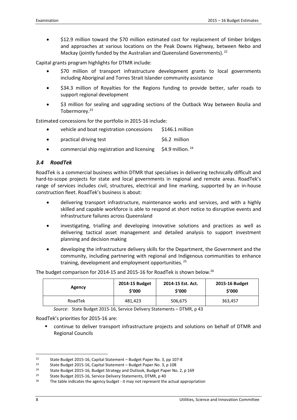• \$12.9 million toward the \$70 million estimated cost for replacement of timber bridges and approaches at various locations on the Peak Downs Highway, between Nebo and Mackay (jointly funded by the Australian and Queensland Governments). <sup>22</sup>

Capital grants program highlights for DTMR include:

- \$70 million of transport infrastructure development grants to local governments including Aboriginal and Torres Strait Islander community assistance
- \$34.3 million of Royalties for the Regions funding to provide better, safer roads to support regional development
- \$3 million for sealing and upgrading sections of the Outback Way between Boulia and Tobermorey.<sup>23</sup>

Estimated concessions for the portfolio in 2015-16 include:

| $\bullet$ | vehicle and boat registration concessions | \$146.1 million |
|-----------|-------------------------------------------|-----------------|
| $\bullet$ | practical driving test                    | \$6.2 million   |
|           |                                           |                 |

commercial ship registration and licensing  $$4.9$  million.<sup>24</sup>

#### *3.4 RoadTek*

RoadTek is a commercial business within DTMR that specialises in delivering technically difficult and hard-to-scope projects for state and local governments in regional and remote areas. RoadTek's range of services includes civil, structures, electrical and line marking, supported by an in-house construction fleet. RoadTek's business is about:

- delivering transport infrastructure, maintenance works and services, and with a highly skilled and capable workforce is able to respond at short notice to disruptive events and infrastructure failures across Queensland
- investigating, trialling and developing innovative solutions and practices as well as delivering tactical asset management and detailed analysis to support investment planning and decision making
- developing the infrastructure delivery skills for the Department, the Government and the community, including partnering with regional and Indigenous communities to enhance training, development and employment opportunities.<sup>25</sup>

The budget comparison for 2014-15 and 2015-16 for RoadTek is shown below.<sup>26</sup>

| Agency  | 2014-15 Budget | 2014-15 Est. Act. | 2015-16 Budget |
|---------|----------------|-------------------|----------------|
|         | \$'000         | \$'000            | \$'000         |
| RoadTek | 481,423        | 506,675           | 363,457        |

*Source*: State Budget 2015-16, Service Delivery Statements – DTMR, p 43

RoadTek's priorities for 2015-16 are:

 continue to deliver transport infrastructure projects and solutions on behalf of DTMR and Regional Councils

<sup>22</sup> State Budget 2015-16, Capital Statement – Budget Paper No. 3, pp 107-8<br> $23$  State Budget 2015-16, Capital Statement – Budget Paper No. 3, p 108

<sup>23</sup> State Budget 2015-16, Capital Statement – Budget Paper No. 3, p 108<br>24 State Budget 2015-16, Budget Strategy and Outlook, Budget Paper No.

State Budget 2015-16, Budget Strategy and Outlook, Budget Paper No. 2, p 169

<sup>25</sup> State Budget 2015-16, Service Delivery Statements, DTMR, p 40

<sup>&</sup>lt;sup>26</sup> The table indicates the agency budget - it may not represent the actual appropriation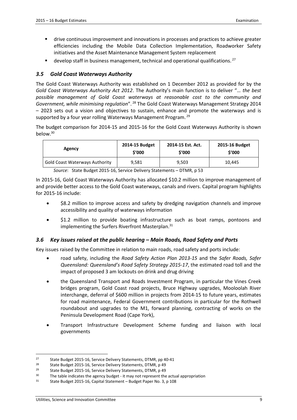- drive continuous improvement and innovations in processes and practices to achieve greater efficiencies including the Mobile Data Collection Implementation, Roadworker Safety initiatives and the Asset Maintenance Management System replacement
- develop staff in business management, technical and operational qualifications.<sup>27</sup>

# *3.5 Gold Coast Waterways Authority*

The Gold Coast Waterways Authority was established on 1 December 2012 as provided for by the *Gold Coast Waterways Authority Act 2012*. The Authority's main function is to deliver "… *the best possible management of Gold Coast waterways at reasonable cost to the community and*  Government, while minimising regulation".<sup>28</sup> The Gold Coast Waterways Management Strategy 2014 – 2023 sets out a vision and objectives to sustain, enhance and promote the waterways and is supported by a four year rolling Waterways Management Program.<sup>29</sup>

The budget comparison for 2014-15 and 2015-16 for the Gold Coast Waterways Authority is shown below.<sup>30</sup>

| Agency                                | 2014-15 Budget | 2014-15 Est. Act. | 2015-16 Budget |
|---------------------------------------|----------------|-------------------|----------------|
|                                       | \$'000         | \$'000            | \$'000         |
| <b>Gold Coast Waterways Authority</b> | 9,581          | 9,503             | 10.445         |

*Source*: State Budget 2015-16, Service Delivery Statements – DTMR, p 53

In 2015-16, Gold Coast Waterways Authority has allocated \$10.2 million to improve management of and provide better access to the Gold Coast waterways, canals and rivers. Capital program highlights for 2015-16 include:

- \$8.2 million to improve access and safety by dredging navigation channels and improve accessibility and quality of waterways information
- \$1.2 million to provide boating infrastructure such as boat ramps, pontoons and implementing the Surfers Riverfront Masterplan.<sup>31</sup>

# *3.6 Key issues raised at the public hearing – Main Roads, Road Safety and Ports*

Key issues raised by the Committee in relation to main roads, road safety and ports include:

- road safety, including the *Road Safety Action Plan 2013-15* and the *Safer Roads, Safer Queensland: Queensland's Road Safety Strategy 2015-17*, the estimated road toll and the impact of proposed 3 am lockouts on drink and drug driving
- the Queensland Transport and Roads Investment Program, in particular the Vines Creek bridges program, Gold Coast road projects, Bruce Highway upgrades, Mooloolah River interchange, deferral of \$600 million in projects from 2014-15 to future years, estimates for road maintenance, Federal Government contributions in particular for the Rothwell roundabout and upgrades to the M1, forward planning, contracting of works on the Peninsula Development Road (Cape York),
- Transport Infrastructure Development Scheme funding and liaison with local governments

<sup>&</sup>lt;sup>27</sup> State Budget 2015-16, Service Delivery Statements, DTMR, pp 40-41<br><sup>28</sup> State Budget 2015-16, Service Delivery Statements, DTMR p.49

<sup>&</sup>lt;sup>28</sup> State Budget 2015-16, Service Delivery Statements, DTMR, p 49<br><sup>29</sup> State Budget 2015-16, Service Delivery Statements, DTMB, p 40

<sup>29</sup> State Budget 2015-16, Service Delivery Statements, DTMR, p 49

<sup>&</sup>lt;sup>30</sup> The table indicates the agency budget - it may not represent the actual appropriation

<sup>31</sup> State Budget 2015-16, Capital Statement – Budget Paper No. 3, p 108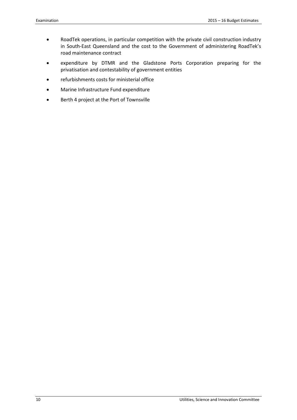- RoadTek operations, in particular competition with the private civil construction industry in South-East Queensland and the cost to the Government of administering RoadTek's road maintenance contract
- expenditure by DTMR and the Gladstone Ports Corporation preparing for the privatisation and contestability of government entities
- refurbishments costs for ministerial office
- Marine Infrastructure Fund expenditure
- Berth 4 project at the Port of Townsville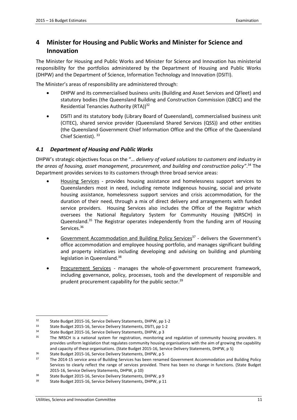# **4 Minister for Housing and Public Works and Minister for Science and Innovation**

The Minister for Housing and Public Works and Minister for Science and Innovation has ministerial responsibility for the portfolios administered by the Department of Housing and Public Works (DHPW) and the Department of Science, Information Technology and Innovation (DSITI).

The Minister's areas of responsibility are administered through:

- DHPW and its commercialised business units (Building and Asset Services and QFleet) and statutory bodies (the Queensland Building and Construction Commission (QBCC) and the Residential Tenancies Authority (RTA))<sup>32</sup>
- DSITI and its statutory body (Library Board of Queensland), commercialised business unit (CITEC), shared service provider (Queensland Shared Services (QSS)) and other entities (the Queensland Government Chief Information Office and the Office of the Queensland Chief Scientist). 33

# *4.1 Department of Housing and Public Works*

DHPW's strategic objectives focus on the "… *delivery of valued solutions to customers and industry in the areas of housing, asset management, procurement, and building and construction policy"*. <sup>34</sup> The Department provides services to its customers through three broad service areas:

- Housing Services provides housing assistance and homelessness support services to Queenslanders most in need, including remote Indigenous housing, social and private housing assistance, homelessness support services and crisis accommodation, for the duration of their need, through a mix of direct delivery and arrangements with funded service providers. Housing Services also includes the Office of the Registrar which oversees the National Regulatory System for Community Housing (NRSCH) in Queensland.<sup>35</sup> The Registrar operates independently from the funding arm of Housing Services.<sup>36</sup>
- Government Accommodation and Building Policy Services<sup>37</sup> delivers the Government's office accommodation and employee housing portfolio, and manages significant building and property initiatives including developing and advising on building and plumbing legislation in Queensland.<sup>38</sup>
- Procurement Services manages the whole-of-government procurement framework, including governance, policy, processes, tools and the development of responsible and prudent procurement capability for the public sector.<sup>39</sup>

<sup>&</sup>lt;sup>32</sup> State Budget 2015-16, Service Delivery Statements, DHPW, pp 1-2<br><sup>33</sup> State Budget 2015-16, Service Delivery Statements, DSITL nn 1-2

<sup>33</sup> State Budget 2015-16, Service Delivery Statements, DSITI, pp 1-2

<sup>34</sup> State Budget 2015-16, Service Delivery Statements, DHPW, p 3

<sup>&</sup>lt;sup>35</sup> The NRSCH is a national system for registration, monitoring and regulation of community housing providers. It provides uniform legislation that regulates community housing organisations with the aim of growing the capability and capacity of these organisations. (State Budget 2015-16, Service Delivery Statements, DHPW, p 5)

<sup>36</sup> State Budget 2015-16, Service Delivery Statements, DHPW, p 5

<sup>&</sup>lt;sup>37</sup> The 2014-15 service area of Building Services has been renamed Government Accommodation and Building Policy Services to clearly reflect the range of services provided. There has been no change in functions. (State Budget 2015-16, Service Delivery Statements, DHPW, p 10)

<sup>38</sup> State Budget 2015-16, Service Delivery Statements, DHPW, p 9

<sup>39</sup> State Budget 2015-16, Service Delivery Statements, DHPW, p 11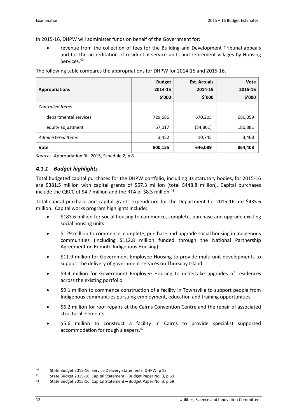In 2015-16, DHPW will administer funds on behalf of the Government for:

• revenue from the collection of fees for the Building and Development Tribunal appeals and for the accreditation of residential service units and retirement villages by Housing Services.<sup>40</sup>

The following table compares the appropriations for DHPW for 2014-15 and 2015-16.

| <b>Appropriations</b>   | <b>Budget</b><br>2014-15<br>\$'000 | <b>Est. Actuals</b><br>2014-15<br>\$′000 | <b>Vote</b><br>2015-16<br>\$'000 |
|-------------------------|------------------------------------|------------------------------------------|----------------------------------|
| <b>Controlled Items</b> |                                    |                                          |                                  |
| departmental services   | 729,686                            | 670,205                                  | 680,059                          |
| equity adjustment       | 67,017                             | (34,861)                                 | 180,881                          |
| Administered Items      | 3,452                              | 10,745                                   | 3,468                            |
| Vote                    | 800,155                            | 646,089                                  | 864,408                          |

*Source*: Appropriation Bill 2015, Schedule 2, p 8

# *4.1.1 Budget highlights*

Total budgeted capital purchases for the DHPW portfolio, including its statutory bodies, for 2015-16 are \$381.5 million with capital grants of \$67.3 million (total \$448.8 million). Capital purchases include the QBCC of \$4.7 million and the RTA of \$8.5 million.<sup>41</sup>

Total capital purchase and capital grants expenditure for the Department for 2015-16 are \$435.6 million. Capital works program highlights include:

- \$183.6 million for social housing to commence, complete, purchase and upgrade existing social housing units
- \$129 million to commence, complete, purchase and upgrade social housing in Indigenous communities (including \$112.8 million funded through the National Partnership Agreement on Remote Indigenous Housing)
- \$11.9 million for Government Employee Housing to provide multi-unit developments to support the delivery of government services on Thursday Island
- \$9.4 million for Government Employee Housing to undertake upgrades of residences across the existing portfolio
- \$9.1 million to commence construction of a facility in Townsville to support people from Indigenous communities pursuing employment, education and training opportunities
- \$6.2 million for roof repairs at the Cairns Convention Centre and the repair of associated structural elements
- \$5.6 million to construct a facility in Cairns to provide specialist supported accommodation for rough sleepers.<sup>42</sup>

<sup>40</sup> State Budget 2015-16, Service Delivery Statements, DHPW, p 12

<sup>41</sup> State Budget 2015-16, Capital Statement – Budget Paper No. 3, p 69

<sup>42</sup> State Budget 2015-16, Capital Statement – Budget Paper No. 3, p 69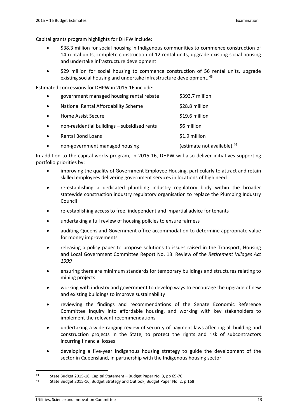Capital grants program highlights for DHPW include:

- \$38.3 million for social housing in Indigenous communities to commence construction of 14 rental units, complete construction of 12 rental units, upgrade existing social housing and undertake infrastructure development
- \$29 million for social housing to commence construction of 56 rental units, upgrade existing social housing and undertake infrastructure development.<sup>43</sup>

Estimated concessions for DHPW in 2015-16 include:

| $\bullet$ | government managed housing rental rebate     | \$393.7 million                         |
|-----------|----------------------------------------------|-----------------------------------------|
| $\bullet$ | National Rental Affordability Scheme         | \$28.8 million                          |
| $\bullet$ | Home Assist Secure                           | \$19.6 million                          |
| $\bullet$ | non-residential buildings - subsidised rents | \$6 million                             |
| $\bullet$ | <b>Rental Bond Loans</b>                     | \$1.9 million                           |
|           | non-government managed housing               | (estimate not available). <sup>44</sup> |

In addition to the capital works program, in 2015-16, DHPW will also deliver initiatives supporting portfolio priorities by:

- improving the quality of Government Employee Housing, particularly to attract and retain skilled employees delivering government services in locations of high need
- re-establishing a dedicated plumbing industry regulatory body within the broader statewide construction industry regulatory organisation to replace the Plumbing Industry Council
- re-establishing access to free, independent and impartial advice for tenants
- undertaking a full review of housing policies to ensure fairness
- auditing Queensland Government office accommodation to determine appropriate value for money improvements
- releasing a policy paper to propose solutions to issues raised in the Transport, Housing and Local Government Committee Report No. 13: Review of the *Retirement Villages Act 1999*
- ensuring there are minimum standards for temporary buildings and structures relating to mining projects
- working with industry and government to develop ways to encourage the upgrade of new and existing buildings to improve sustainability
- reviewing the findings and recommendations of the Senate Economic Reference Committee Inquiry into affordable housing, and working with key stakeholders to implement the relevant recommendations
- undertaking a wide-ranging review of security of payment laws affecting all building and construction projects in the State, to protect the rights and risk of subcontractors incurring financial losses
- developing a five-year Indigenous housing strategy to guide the development of the sector in Queensland, in partnership with the Indigenous housing sector

<sup>43</sup> State Budget 2015-16, Capital Statement – Budget Paper No. 3, pp 69-70

<sup>44</sup> State Budget 2015-16, Budget Strategy and Outlook, Budget Paper No. 2, p 168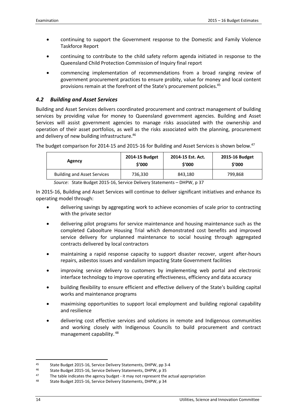- continuing to support the Government response to the Domestic and Family Violence Taskforce Report
- continuing to contribute to the child safety reform agenda initiated in response to the Queensland Child Protection Commission of Inquiry final report
- commencing implementation of recommendations from a broad ranging review of government procurement practices to ensure probity, value for money and local content provisions remain at the forefront of the State's procurement policies.<sup>45</sup>

### *4.2 Building and Asset Services*

Building and Asset Services delivers coordinated procurement and contract management of building services by providing value for money to Queensland government agencies. Building and Asset Services will assist government agencies to manage risks associated with the ownership and operation of their asset portfolios, as well as the risks associated with the planning, procurement and delivery of new building infrastructure.<sup>46</sup>

| Agency                             | 2014-15 Budget | 2014-15 Est. Act. | 2015-16 Budget |
|------------------------------------|----------------|-------------------|----------------|
|                                    | \$'000         | \$′000            | \$′000         |
| <b>Building and Asset Services</b> | 736,330        | 843,180           | 799,868        |

The budget comparison for 2014-15 and 2015-16 for Building and Asset Services is shown below.<sup>47</sup>

*Source*: State Budget 2015-16, Service Delivery Statements – DHPW, p 37

In 2015-16, Building and Asset Services will continue to deliver significant initiatives and enhance its operating model through:

- delivering savings by aggregating work to achieve economies of scale prior to contracting with the private sector
- delivering pilot programs for service maintenance and housing maintenance such as the completed Caboolture Housing Trial which demonstrated cost benefits and improved service delivery for unplanned maintenance to social housing through aggregated contracts delivered by local contractors
- maintaining a rapid response capacity to support disaster recover, urgent after-hours repairs, asbestos issues and vandalism impacting State Government facilities
- improving service delivery to customers by implementing web portal and electronic interface technology to improve operating effectiveness, efficiency and data accuracy
- building flexibility to ensure efficient and effective delivery of the State's building capital works and maintenance programs
- maximising opportunities to support local employment and building regional capability and resilience
- delivering cost effective services and solutions in remote and Indigenous communities and working closely with Indigenous Councils to build procurement and contract management capability.<sup>48</sup>

<sup>45</sup> State Budget 2015-16, Service Delivery Statements, DHPW, pp 3-4<br>46 State Budget 2015-16, Service Delivery Statements, DHPW, p. 35

<sup>46</sup> State Budget 2015-16, Service Delivery Statements, DHPW, p 35

 $47$  The table indicates the agency budget - it may not represent the actual appropriation

<sup>48</sup> State Budget 2015-16, Service Delivery Statements, DHPW, p 34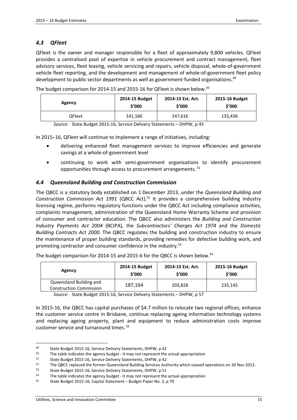### *4.3 QFleet*

QFleet is the owner and manager responsible for a fleet of approximately 9,800 vehicles. QFleet provides a centralised pool of expertise in vehicle procurement and contract management, fleet advisory services, fleet leasing, vehicle servicing and repairs, vehicle disposal, whole-of-government vehicle fleet reporting, and the development and management of whole-of-government fleet policy development to public sector departments as well as government-funded organisations.<sup>49</sup>

The budget comparison for 2014-15 and 2015-16 for QFleet is shown below.<sup>50</sup>

| Agency | 2014-15 Budget | 2014-15 Est. Act. | 2015-16 Budget |
|--------|----------------|-------------------|----------------|
|        | \$'000         | \$'000            | \$'000         |
| QFleet | 141,166        | 147,616           | 133,436        |

*Source*: State Budget 2015-16, Service Delivery Statements – DHPW, p 45

In 2015–16, QFleet will continue to implement a range of initiatives, including:

- delivering enhanced fleet management services to improve efficiencies and generate savings at a whole-of-government level
- continuing to work with semi-government organisations to identify procurement opportunities through access to procurement arrangements.<sup>51</sup>

# *4.4 Queensland Building and Construction Commission*

The QBCC is a statutory body established on 1 December 2013, under the *Queensland Building and Construction Commission Act 1991* (QBCC Act).<sup>52</sup> It provides a comprehensive building industry licensing regime, performs regulatory functions under the QBCC Act including compliance activities, complaints management, administration of the Queensland Home Warranty Scheme and provision of consumer and contractor education. The QBCC also administers the *Building and Construction Industry Payments Act 2004* (BCIPA), the *Subcontractors' Charges Act 1974* and the *Domestic Building Contracts Act 2000*. The QBCC regulates the building and construction industry to ensure the maintenance of proper building standards, providing remedies for defective building work, and promoting contractor and consumer confidence in the industry.<sup>53</sup>

| Agency                                                    | 2014-15 Budget | 2014-15 Est. Act. | 2015-16 Budget |
|-----------------------------------------------------------|----------------|-------------------|----------------|
|                                                           | \$'000         | \$'000            | \$′000         |
| Queensland Building and<br><b>Construction Commission</b> | 187,164        | 203,828           | 235,145        |

The budget comparison for 2014-15 and 2015-6 for the QBCC is shown below.<sup>54</sup>

*Source*: State Budget 2015-16, Service Delivery Statements – DHPW, p 57

In 2015-16, the QBCC has capital purchases of \$4.7 million to relocate two regional offices, enhance the customer service centre in Brisbane, continue replacing ageing information technology systems and replacing ageing property, plant and equipment to reduce administration costs improve customer service and turnaround times.<sup>55</sup>

<sup>49</sup> State Budget 2015-16, Service Delivery Statements, DHPW, p 42

<sup>&</sup>lt;sup>50</sup> The table indicates the agency budget - it may not represent the actual appropriation

<sup>&</sup>lt;sup>51</sup> State Budget 2015-16, Service Delivery Statements, DHPW, p 42<br><sup>52</sup> The OBCC replaced the former Queensland Building Services Aut

<sup>52</sup> The QBCC replaced the former Queensland Building Services Authority which ceased operations on 30 Nov 2013.<br>53 State Budget 2015 16, Service Delivery Statements, DHPW, p.51.

State Budget 2015-16, Service Delivery Statements, DHPW, p 51

<sup>&</sup>lt;sup>54</sup> The table indicates the agency budget - it may not represent the actual appropriation

<sup>55</sup> State Budget 2015-16, Capital Statement – Budget Paper No. 3, p 70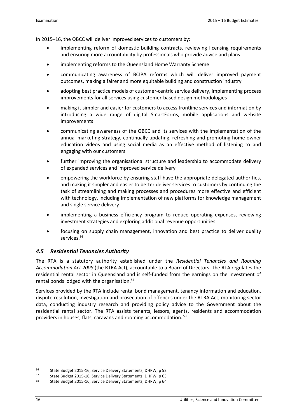In 2015–16, the QBCC will deliver improved services to customers by:

- implementing reform of domestic building contracts, reviewing licensing requirements and ensuring more accountability by professionals who provide advice and plans
- implementing reforms to the Queensland Home Warranty Scheme
- communicating awareness of BCIPA reforms which will deliver improved payment outcomes, making a fairer and more equitable building and construction industry
- adopting best practice models of customer-centric service delivery, implementing process improvements for all services using customer-based design methodologies
- making it simpler and easier for customers to access frontline services and information by introducing a wide range of digital SmartForms, mobile applications and website improvements
- communicating awareness of the QBCC and its services with the implementation of the annual marketing strategy, continually updating, refreshing and promoting home owner education videos and using social media as an effective method of listening to and engaging with our customers
- further improving the organisational structure and leadership to accommodate delivery of expanded services and improved service delivery
- empowering the workforce by ensuring staff have the appropriate delegated authorities, and making it simpler and easier to better deliver services to customers by continuing the task of streamlining and making processes and procedures more effective and efficient with technology, including implementation of new platforms for knowledge management and single service delivery
- implementing a business efficiency program to reduce operating expenses, reviewing investment strategies and exploring additional revenue opportunities
- focusing on supply chain management, innovation and best practice to deliver quality services.<sup>56</sup>

# *4.5 Residential Tenancies Authority*

The RTA is a statutory authority established under the *Residential Tenancies and Rooming Accommodation Act 2008* (the RTRA Act), accountable to a Board of Directors. The RTA regulates the residential rental sector in Queensland and is self-funded from the earnings on the investment of rental bonds lodged with the organisation.<sup>57</sup>

Services provided by the RTA include rental bond management, tenancy information and education, dispute resolution, investigation and prosecution of offences under the RTRA Act, monitoring sector data, conducting industry research and providing policy advice to the Government about the residential rental sector. The RTA assists tenants, lessors, agents, residents and accommodation providers in houses, flats, caravans and rooming accommodation.<sup>58</sup>

<sup>56</sup> State Budget 2015-16, Service Delivery Statements, DHPW, p 52

<sup>57</sup> State Budget 2015-16, Service Delivery Statements, DHPW, p 63

<sup>58</sup> State Budget 2015-16, Service Delivery Statements, DHPW, p 64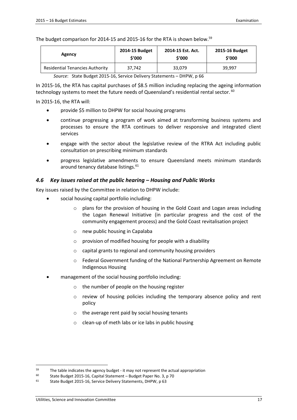The budget comparison for 2014-15 and 2015-16 for the RTA is shown below.<sup>59</sup>

| Agency                                 | 2014-15 Budget | 2014-15 Est. Act. | 2015-16 Budget |
|----------------------------------------|----------------|-------------------|----------------|
|                                        | \$'000         | \$'000            | \$'000         |
| <b>Residential Tenancies Authority</b> | 37,742         | 33,079            | 39.997         |

*Source*: State Budget 2015-16, Service Delivery Statements – DHPW, p 66

In 2015-16, the RTA has capital purchases of \$8.5 million including replacing the ageing information technology systems to meet the future needs of Queensland's residential rental sector.  $60$ 

In 2015-16, the RTA will:

- provide \$5 million to DHPW for social housing programs
- continue progressing a program of work aimed at transforming business systems and processes to ensure the RTA continues to deliver responsive and integrated client services
- engage with the sector about the legislative review of the RTRA Act including public consultation on prescribing minimum standards
- progress legislative amendments to ensure Queensland meets minimum standards around tenancy database listings.<sup>61</sup>

#### *4.6 Key issues raised at the public hearing – Housing and Public Works*

Key issues raised by the Committee in relation to DHPW include:

- social housing capital portfolio including:
	- o plans for the provision of housing in the Gold Coast and Logan areas including the Logan Renewal Initiative (in particular progress and the cost of the community engagement process) and the Gold Coast revitalisation project
	- o new public housing in Capalaba
	- o provision of modified housing for people with a disability
	- o capital grants to regional and community housing providers
	- $\circ$  Federal Government funding of the National Partnership Agreement on Remote Indigenous Housing
- management of the social housing portfolio including:
	- o the number of people on the housing register
	- o review of housing policies including the temporary absence policy and rent policy
	- o the average rent paid by social housing tenants
	- o clean-up of meth labs or ice labs in public housing

<sup>59</sup> The table indicates the agency budget - it may not represent the actual appropriation

<sup>60</sup> State Budget 2015-16, Capital Statement – Budget Paper No. 3, p 70

<sup>61</sup> State Budget 2015-16, Service Delivery Statements, DHPW, p 63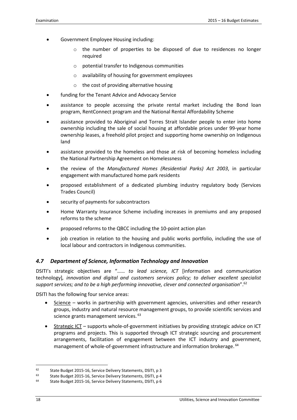- Government Employee Housing including:
	- o the number of properties to be disposed of due to residences no longer required
	- o potential transfer to Indigenous communities
	- o availability of housing for government employees
	- o the cost of providing alternative housing
- funding for the Tenant Advice and Advocacy Service
- assistance to people accessing the private rental market including the Bond loan program, RentConnect program and the National Rental Affordability Scheme
- assistance provided to Aboriginal and Torres Strait Islander people to enter into home ownership including the sale of social housing at affordable prices under 99-year home ownership leases, a freehold pilot project and supporting home ownership on Indigenous land
- assistance provided to the homeless and those at risk of becoming homeless including the National Partnership Agreement on Homelessness
- the review of the *Manufactured Homes (Residential Parks) Act 2003*, in particular engagement with manufactured home park residents
- proposed establishment of a dedicated plumbing industry regulatory body (Services Trades Council)
- security of payments for subcontractors
- Home Warranty Insurance Scheme including increases in premiums and any proposed reforms to the scheme
- proposed reforms to the QBCC including the 10-point action plan
- job creation in relation to the housing and public works portfolio, including the use of local labour and contractors in Indigenous communities.

# *4.7 Department of Science, Information Technology and Innovation*

DSITI's strategic objectives are "…… *to lead science, ICT* [information and communication technology]*, innovation and digital and customers services policy; to deliver excellent specialist support services; and to be a high performing innovative, clever and connected organisation*".<sup>62</sup>

DSITI has the following four service areas:

- Science works in partnership with government agencies, universities and other research groups, industry and natural resource management groups, to provide scientific services and science grants management services. <sup>63</sup>
- Strategic ICT supports whole-of-government initiatives by providing strategic advice on ICT programs and projects. This is supported through ICT strategic sourcing and procurement arrangements, facilitation of engagement between the ICT industry and government, management of whole-of-government infrastructure and information brokerage. <sup>64</sup>

<sup>62</sup> State Budget 2015-16, Service Delivery Statements, DSITI, p 3

<sup>63</sup> State Budget 2015-16, Service Delivery Statements, DSITI, p 4

<sup>64</sup> State Budget 2015-16, Service Delivery Statements, DSITI, p 6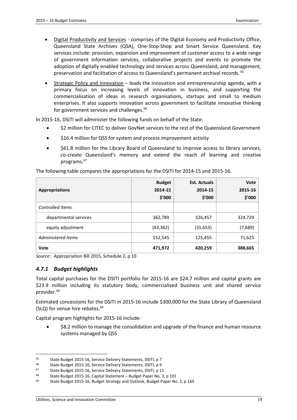- Digital Productivity and Services comprises of the Digital Economy and Productivity Office, Queensland State Archives (QSA), One-Stop-Shop and Smart Service Queensland. Key services include: provision, expansion and improvement of customer access to a wide range of government information services, collaborative projects and events to promote the adoption of digitally enabled technology and services across Queensland, and management, preservation and facilitation of access to Queensland's permanent archival records.<sup>65</sup>
- Strategic Policy and Innovation leads the innovation and entrepreneurship agenda, with a primary focus on increasing levels of innovation in business, and supporting the commercialisation of ideas in research organisations, startups and small to medium enterprises. It also supports innovation across government to facilitate innovative thinking for government services and challenges.<sup>66</sup>

In 2015-16, DSITI will administer the following funds on behalf of the State:

- \$2 million for CITEC to deliver GovNet services to the rest of the Queensland Government
- \$16.4 million for QSS for system and process improvement activity
- \$61.8 million for the Library Board of Queensland to improve access to library services, co-create Queensland's memory and extend the reach of learning and creative programs.<sup>67</sup>

| <b>Appropriations</b> | <b>Budget</b><br>2014-15<br>\$'000 | <b>Est. Actuals</b><br>2014-15<br>\$′000 | Vote<br>2015-16<br>\$'000 |
|-----------------------|------------------------------------|------------------------------------------|---------------------------|
| Controlled Items      |                                    |                                          |                           |
| departmental services | 362,789                            | 326,457                                  | 324,729                   |
| equity adjustment     | (43, 362)                          | (31, 653)                                | (7,689)                   |
| Administered Items    | 152,545                            | 125,455                                  | 71,625                    |
| Vote                  | 471,972                            | 420,259                                  | 388,665                   |

The following table compares the appropriations for the DSITI for 2014-15 and 2015-16.

*Source*: Appropriation Bill 2015, Schedule 2, p 10

# *4.7.1 Budget highlights*

-

Total capital purchases for the DSITI portfolio for 2015-16 are \$24.7 million and capital grants are \$23.9 million including its statutory body, commercialised business unit and shared service provider.<sup>68</sup>

Estimated concessions for the DSITI in 2015-16 include \$300,000 for the State Library of Queensland (SLQ) for venue hire rebates.<sup>69</sup>

Capital program highlights for 2015-16 include:

• \$8.2 million to manage the consolidation and upgrade of the finance and human resource systems managed by QSS

<sup>&</sup>lt;sup>65</sup> State Budget 2015-16, Service Delivery Statements, DSITI, p 7<br><sup>66</sup> State Budget 2015-16, Service Delivery Statements, DSITI, p 8

<sup>&</sup>lt;sup>66</sup> State Budget 2015-16, Service Delivery Statements, DSITI, p 9<br><sup>67</sup> State Budget 2015-16, Service Delivery Statements, DSITI, p 1

State Budget 2015-16, Service Delivery Statements, DSITI, p 11

<sup>68</sup> State Budget 2015-16, Capital Statement – Budget Paper No. 3, p 101

<sup>&</sup>lt;sup>69</sup> State Budget 2015-16, Budget Strategy and Outlook, Budget Paper No. 2, p 169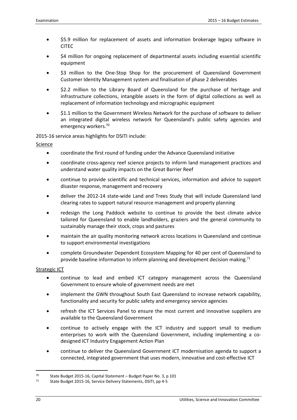- \$5.9 million for replacement of assets and information brokerage legacy software in CITEC
- \$4 million for ongoing replacement of departmental assets including essential scientific equipment
- \$3 million to the One-Stop Shop for the procurement of Queensland Government Customer Identity Management system and finalisation of phase 2 deliverables
- \$2.2 million to the Library Board of Queensland for the purchase of heritage and infrastructure collections, intangible assets in the form of digital collections as well as replacement of information technology and micrographic equipment
- \$1.1 million to the Government Wireless Network for the purchase of software to deliver an integrated digital wireless network for Queensland's public safety agencies and emergency workers.<sup>70</sup>

2015-16 service areas highlights for DSITI include:

**Science** 

- coordinate the first round of funding under the Advance Queensland initiative
- coordinate cross-agency reef science projects to inform land management practices and understand water quality impacts on the Great Barrier Reef
- continue to provide scientific and technical services, information and advice to support disaster response, management and recovery
- deliver the 2012-14 state-wide Land and Trees Study that will include Queensland land clearing rates to support natural resource management and property planning
- redesign the Long Paddock website to continue to provide the best climate advice tailored for Queensland to enable landholders, graziers and the general community to sustainably manage their stock, crops and pastures
- maintain the air quality monitoring network across locations in Queensland and continue to support environmental investigations
- complete Groundwater Dependent Ecosystem Mapping for 40 per cent of Queensland to provide baseline information to inform planning and development decision making.<sup>71</sup>

#### Strategic ICT

- continue to lead and embed ICT category management across the Queensland Government to ensure whole-of government needs are met
- implement the GWN throughout South East Queensland to increase network capability, functionality and security for public safety and emergency service agencies
- refresh the ICT Services Panel to ensure the most current and innovative suppliers are available to the Queensland Government
- continue to actively engage with the ICT industry and support small to medium enterprises to work with the Queensland Government, including implementing a codesigned ICT Industry Engagement Action Plan
- continue to deliver the Queensland Government ICT modernisation agenda to support a connected, integrated government that uses modern, innovative and cost-effective ICT

<sup>70</sup> State Budget 2015-16, Capital Statement – Budget Paper No. 3, p 101

<sup>71</sup> State Budget 2015-16, Service Delivery Statements, DSITI, pp 4-5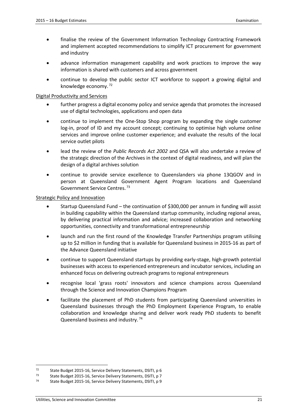- finalise the review of the Government Information Technology Contracting Framework and implement accepted recommendations to simplify ICT procurement for government and industry
- advance information management capability and work practices to improve the way information is shared with customers and across government
- continue to develop the public sector ICT workforce to support a growing digital and knowledge economy.<sup>72</sup>

#### Digital Productivity and Services

- further progress a digital economy policy and service agenda that promotes the increased use of digital technologies, applications and open data
- continue to implement the One-Stop Shop program by expanding the single customer log-in, proof of ID and my account concept; continuing to optimise high volume online services and improve online customer experience; and evaluate the results of the local service outlet pilots
- lead the review of the *Public Records Act 2002* and QSA will also undertake a review of the strategic direction of the Archives in the context of digital readiness, and will plan the design of a digital archives solution
- continue to provide service excellence to Queenslanders via phone 13QGOV and in person at Queensland Government Agent Program locations and Queensland Government Service Centres.<sup>73</sup>

#### Strategic Policy and Innovation

- Startup Queensland Fund the continuation of \$300,000 per annum in funding will assist in building capability within the Queensland startup community, including regional areas, by delivering practical information and advice; increased collaboration and networking opportunities, connectivity and transformational entrepreneurship
- launch and run the first round of the Knowledge Transfer Partnerships program utilising up to \$2 million in funding that is available for Queensland business in 2015-16 as part of the Advance Queensland initiative
- continue to support Queensland startups by providing early-stage, high-growth potential businesses with access to experienced entrepreneurs and incubator services, including an enhanced focus on delivering outreach programs to regional entrepreneurs
- recognise local 'grass roots' innovators and science champions across Queensland through the Science and Innovation Champions Program
- facilitate the placement of PhD students from participating Queensland universities in Queensland businesses through the PhD Employment Experience Program, to enable collaboration and knowledge sharing and deliver work ready PhD students to benefit Queensland business and industry.<sup>74</sup>

<sup>72</sup> State Budget 2015-16, Service Delivery Statements, DSITI, p 6

<sup>73</sup> State Budget 2015-16, Service Delivery Statements, DSITI, p 7

<sup>74</sup> State Budget 2015-16, Service Delivery Statements, DSITI, p 9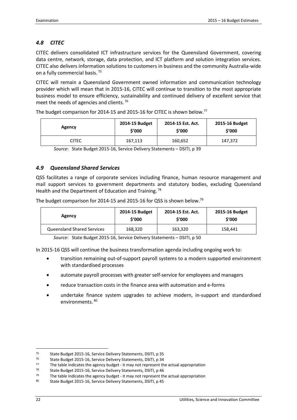# *4.8 CITEC*

CITEC delivers consolidated ICT infrastructure services for the Queensland Government, covering data centre, network, storage, data protection, and ICT platform and solution integration services. CITEC also delivers information solutions to customers in business and the community Australia-wide on a fully commercial basis.<sup>75</sup>

CITEC will remain a Queensland Government owned information and communication technology provider which will mean that in 2015-16, CITEC will continue to transition to the most appropriate business model to ensure efficiency, sustainability and continued delivery of excellent service that meet the needs of agencies and clients.<sup>76</sup>

| Agency       | 2014-15 Budget | 2014-15 Est. Act. | 2015-16 Budget |
|--------------|----------------|-------------------|----------------|
|              | \$′000         | \$′000            | \$'000         |
| <b>CITEC</b> | 167,113        | 160,652           | 147,372        |

The budget comparison for 2014-15 and 2015-16 for CITEC is shown below.<sup>77</sup>

*Source*: State Budget 2015-16, Service Delivery Statements – DSITI, p 39

#### *4.9 Queensland Shared Services*

QSS facilitates a range of corporate services including finance, human resource management and mail support services to government departments and statutory bodies, excluding Queensland Health and the Department of Education and Training.<sup>78</sup>

The budget comparison for 2014-15 and 2015-16 for QSS is shown below.<sup>79</sup>

| Agency                            | 2014-15 Budget | 2014-15 Est. Act. | 2015-16 Budget |
|-----------------------------------|----------------|-------------------|----------------|
|                                   | \$′000         | \$'000            | \$′000         |
| <b>Queensland Shared Services</b> | 168,320        | 163,320           | 158,441        |

*Source*: State Budget 2015-16, Service Delivery Statements – DSITI, p 50

In 2015-16 QSS will continue the business transformation agenda including ongoing work to:

- transition remaining out-of-support payroll systems to a modern supported environment with standardised processes
- automate payroll processes with greater self-service for employees and managers
- reduce transaction costs in the finance area with automation and e-forms
- undertake finance system upgrades to achieve modern, in-support and standardised environments. 80

<sup>75</sup> State Budget 2015-16, Service Delivery Statements, DSITI, p 35

<sup>&</sup>lt;sup>76</sup> State Budget 2015-16, Service Delivery Statements, DSITI, p 34<br><sup>77</sup> The table indicates the agency budget, it may not represent the

 $77$  The table indicates the agency budget - it may not represent the actual appropriation<br> $78$  State Budget 2015 16, Sonice Delivery Statements, DSLTL p.46

State Budget 2015-16, Service Delivery Statements, DSITI, p 46

 $79$  The table indicates the agency budget - it may not represent the actual appropriation

<sup>80</sup> State Budget 2015-16, Service Delivery Statements, DSITI, p 45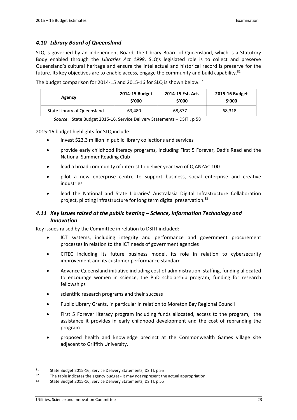#### *4.10 Library Board of Queensland*

SLQ is governed by an independent Board, the Library Board of Queensland, which is a Statutory Body enabled through the *Libraries Act 1998*. SLQ's legislated role is to collect and preserve Queensland's cultural heritage and ensure the intellectual and historical record is preserve for the future. Its key objectives are to enable access, engage the community and build capability. $81$ 

The budget comparison for 2014-15 and 2015-16 for SLQ is shown below.<sup>82</sup>

| Agency                      | 2014-15 Budget | 2014-15 Est. Act. | 2015-16 Budget |
|-----------------------------|----------------|-------------------|----------------|
|                             | \$′000         | \$'000            | \$'000         |
| State Library of Queensland | 63.480         | 68,877            | 68,318         |

*Source*: State Budget 2015-16, Service Delivery Statements – DSITI, p 58

2015-16 budget highlights for SLQ include:

- invest \$23.3 million in public library collections and services
- provide early childhood literacy programs, including First 5 Forever, Dad's Read and the National Summer Reading Club
- lead a broad community of interest to deliver year two of Q ANZAC 100
- pilot a new enterprise centre to support business, social enterprise and creative industries
- lead the National and State Libraries' Australasia Digital Infrastructure Collaboration project, piloting infrastructure for long term digital preservation.<sup>83</sup>

# *4.11 Key issues raised at the public hearing – Science, Information Technology and Innovation*

Key issues raised by the Committee in relation to DSITI included:

- ICT systems, including integrity and performance and government procurement processes in relation to the ICT needs of government agencies
- CITEC including its future business model, its role in relation to cybersecurity improvement and its customer performance standard
- Advance Queensland initiative including cost of administration, staffing, funding allocated to encourage women in science, the PhD scholarship program, funding for research fellowships
- scientific research programs and their success
- Public Library Grants, in particular in relation to Moreton Bay Regional Council
- First 5 Forever literacy program including funds allocated, access to the program, the assistance it provides in early childhood development and the cost of rebranding the program
- proposed health and knowledge precinct at the Commonwealth Games village site adjacent to Griffith University.

<sup>81</sup> State Budget 2015-16, Service Delivery Statements, DSITI, p 55

 $82$  The table indicates the agency budget - it may not represent the actual appropriation

<sup>83</sup> State Budget 2015-16, Service Delivery Statements, DSITI, p 55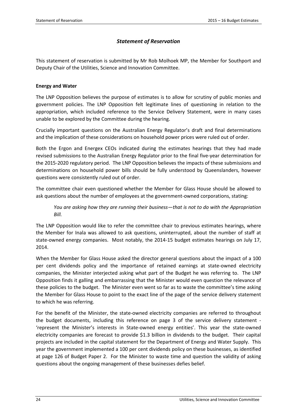# *Statement of Reservation*

This statement of reservation is submitted by Mr Rob Molhoek MP, the Member for Southport and Deputy Chair of the Utilities, Science and Innovation Committee.

# **Energy and Water**

The LNP Opposition believes the purpose of estimates is to allow for scrutiny of public monies and government policies. The LNP Opposition felt legitimate lines of questioning in relation to the appropriation, which included reference to the Service Delivery Statement, were in many cases unable to be explored by the Committee during the hearing.

Crucially important questions on the Australian Energy Regulator's draft and final determinations and the implication of these considerations on household power prices were ruled out of order.

Both the Ergon and Energex CEOs indicated during the estimates hearings that they had made revised submissions to the Australian Energy Regulator prior to the final five-year determination for the 2015-2020 regulatory period. The LNP Opposition believes the impacts of these submissions and determinations on household power bills should be fully understood by Queenslanders, however questions were consistently ruled out of order.

The committee chair even questioned whether the Member for Glass House should be allowed to ask questions about the number of employees at the government-owned corporations, stating:

*You are asking how they are running their business—that is not to do with the Appropriation Bill.* 

The LNP Opposition would like to refer the committee chair to previous estimates hearings, where the Member for Inala was allowed to ask questions, uninterrupted, about the number of staff at state-owned energy companies. Most notably, the 2014-15 budget estimates hearings on July 17, 2014.

When the Member for Glass House asked the director general questions about the impact of a 100 per cent dividends policy and the importance of retained earnings at state-owned electricity companies, the Minister interjected asking what part of the Budget he was referring to. The LNP Opposition finds it galling and embarrassing that the Minister would even question the relevance of these policies to the budget. The Minister even went so far as to waste the committee's time asking the Member for Glass House to point to the exact line of the page of the service delivery statement to which he was referring.

For the benefit of the Minister, the state-owned electricity companies are referred to throughout the budget documents, including this reference on page 3 of the service delivery statement - 'represent the Minister's interests in State-owned energy entities'. This year the state-owned electricity companies are forecast to provide \$1.3 billion in dividends to the budget. Their capital projects are included in the capital statement for the Department of Energy and Water Supply. This year the government implemented a 100 per cent dividends policy on these businesses, as identified at page 126 of Budget Paper 2. For the Minister to waste time and question the validity of asking questions about the ongoing management of these businesses defies belief.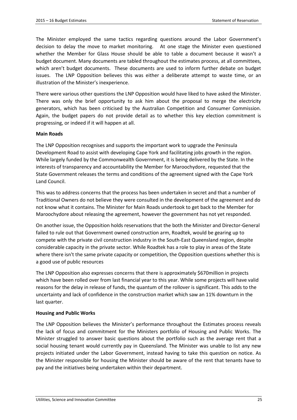The Minister employed the same tactics regarding questions around the Labor Government's decision to delay the move to market monitoring. At one stage the Minister even questioned whether the Member for Glass House should be able to table a document because it wasn't a budget document. Many documents are tabled throughout the estimates process, at all committees, which aren't budget documents. These documents are used to inform further debate on budget issues. The LNP Opposition believes this was either a deliberate attempt to waste time, or an illustration of the Minister's inexperience.

There were various other questions the LNP Opposition would have liked to have asked the Minister. There was only the brief opportunity to ask him about the proposal to merge the electricity generators, which has been criticised by the Australian Competition and Consumer Commission. Again, the budget papers do not provide detail as to whether this key election commitment is progressing, or indeed if it will happen at all.

#### **Main Roads**

The LNP Opposition recognises and supports the important work to upgrade the Peninsula Development Road to assist with developing Cape York and facilitating jobs growth in the region. While largely funded by the Commonwealth Government, it is being delivered by the State. In the interests of transparency and accountability the Member for Maroochydore, requested that the State Government releases the terms and conditions of the agreement signed with the Cape York Land Council.

This was to address concerns that the process has been undertaken in secret and that a number of Traditional Owners do not believe they were consulted in the development of the agreement and do not know what it contains. The Minister for Main Roads undertook to get back to the Member for Maroochydore about releasing the agreement, however the government has not yet responded.

On another issue, the Opposition holds reservations that the both the Minister and Director-General failed to rule out that Government owned construction arm, Roadtek, would be gearing up to compete with the private civil construction industry in the South-East Queensland region, despite considerable capacity in the private sector. While Roadtek has a role to play in areas of the State where there isn't the same private capacity or competition, the Opposition questions whether this is a good use of public resources

The LNP Opposition also expresses concerns that there is approximately \$670million in projects which have been rolled over from last financial year to this year. While some projects will have valid reasons for the delay in release of funds, the quantum of the rollover is significant. This adds to the uncertainty and lack of confidence in the construction market which saw an 11% downturn in the last quarter.

#### **Housing and Public Works**

The LNP Opposition believes the Minister's performance throughout the Estimates process reveals the lack of focus and commitment for the Ministers portfolio of Housing and Public Works. The Minister struggled to answer basic questions about the portfolio such as the average rent that a social housing tenant would currently pay in Queensland. The Minister was unable to list any new projects initiated under the Labor Government, instead having to take this question on notice. As the Minister responsible for housing the Minister should be aware of the rent that tenants have to pay and the initiatives being undertaken within their department.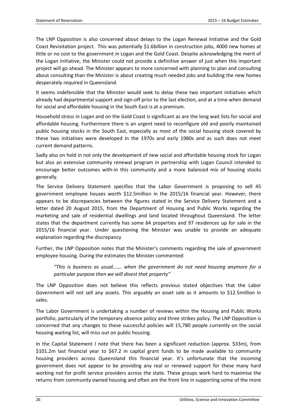The LNP Opposition is also concerned about delays to the Logan Renewal Initiative and the Gold Coast Revisitation project. This was potentially \$1.6billion in construction jobs, 4000 new homes at little or no cost to the government in Logan and the Gold Coast. Despite acknowledging the merit of the Logan Initiative, the Minister could not provide a definitive answer of just when this important project will go ahead. The Minister appears to more concerned with planning to plan and consulting about consulting than the Minister is about creating much needed jobs and building the new homes desperately required in Queensland.

It seems indefensible that the Minister would seek to delay these two important initiatives which already had departmental support and sign-off prior to the last election, and at a time when demand for social and affordable housing in the South East is at a premium.

Household stress in Logan and on the Gold Coast is significant as are the long wait lists for social and affordable housing. Furthermore there is an urgent need to reconfigure old and poorly maintained public housing stocks in the South East, especially as most of the social housing stock covered by these two initiatives were developed in the 1970s and early 1980s and as such does not meet current demand patterns.

Sadly also on hold in not only the development of new social and affordable housing stock for Logan but also an extensive community renewal program in partnership with Logan Council intended to encourage better outcomes with-in this community and a more balanced mix of housing stocks generally.

The Service Delivery Statement specifies that the Labor Government is proposing to sell 45 government employee houses worth \$12.5million in the 2015/16 financial year. However, there appears to be discrepancies between the figures stated in the Service Delivery Statement and a letter dated 20 August 2015, from the Department of Housing and Public Works regarding the marketing and sale of residential dwellings and land located throughout Queensland. The letter states that the department currently has some 64 properties and 97 residences up for sale in the 2015/16 financial year. Under questioning the Minister was unable to provide an adequate explanation regarding the discrepancy

Further, the LNP Opposition notes that the Minister's comments regarding the sale of government employee housing. During the estimates the Minister commented:

*"This is business as usual……. when the government do not need housing anymore for a particular purpose then we will divest that property"* 

The LNP Opposition does not believe this reflects previous stated objectives that the Labor Government will not sell any assets. This arguably an asset sale as it amounts to \$12.5million in sales.

The Labor Government is undertaking a number of reviews within the Housing and Public Works portfolio, particularly of the temporary absence policy and three strikes policy. The LNP Opposition is concerned that any changes to these successful policies will 15,780 people currently on the social housing waiting list, will miss out on public housing.

In the Capital Statement I note that there has been a significant reduction (approx. \$33m), from \$101.2m last financial year to \$67.2 in capital grant funds to be made available to community housing providers across Queensland this financial year. It's unfortunate that the incoming government does not appear to be providing any real or renewed support for these many hard working not for profit service providers across the state. These groups work hard to maximise the returns from community owned housing and often are the front line in supporting some of the more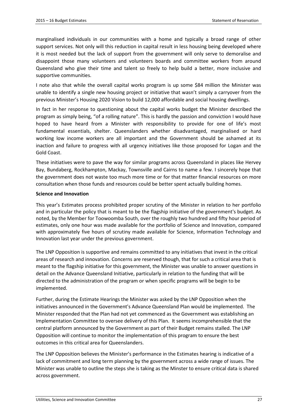marginalised individuals in our communities with a home and typically a broad range of other support services. Not only will this reduction in capital result in less housing being developed where it is most needed but the lack of support from the government will only serve to demoralise and disappoint those many volunteers and volunteers boards and committee workers from around Queensland who give their time and talent so freely to help build a better, more inclusive and supportive communities.

I note also that while the overall capital works program is up some \$84 million the Minister was unable to identify a single new housing project or initiative that wasn't simply a carryover from the previous Minister's Housing 2020 Vision to build 12,000 affordable and social housing dwellings.

In fact in her response to questioning about the capital works budget the Minister described the program as simply being, "of a rolling nature". This is hardly the passion and conviction I would have hoped to have heard from a Minister with responsibility to provide for one of life's most fundamental essentials, shelter. Queenslanders whether disadvantaged, marginalised or hard working low income workers are all important and the Government should be ashamed at its inaction and failure to progress with all urgency initiatives like those proposed for Logan and the Gold Coast.

These initiatives were to pave the way for similar programs across Queensland in places like Hervey Bay, Bundaberg, Rockhampton, Mackay, Townsville and Cairns to name a few. I sincerely hope that the government does not waste too much more time or for that matter financial resources on more consultation when those funds and resources could be better spent actually building homes.

#### **Science and Innovation**

This year's Estimates process prohibited proper scrutiny of the Minister in relation to her portfolio and in particular the policy that is meant to be the flagship initiative of the government's budget. As noted, by the Member for Toowoomba South, over the roughly two hundred and fifty hour period of estimates, only one hour was made available for the portfolio of Science and Innovation, compared with approximately five hours of scrutiny made available for Science, Information Technology and Innovation last year under the previous government.

The LNP Opposition is supportive and remains committed to any initiatives that invest in the critical areas of research and innovation. Concerns are reserved though, that for such a critical area that is meant to the flagship initiative for this government, the Minister was unable to answer questions in detail on the Advance Queensland Initiative, particularly in relation to the funding that will be directed to the administration of the program or when specific programs will be begin to be implemented.

Further, during the Estimate Hearings the Minister was asked by the LNP Opposition when the initiatives announced in the Government's Advance Queensland Plan would be implemented. The Minister responded that the Plan had not yet commenced as the Government was establishing an Implementation Committee to oversee delivery of this Plan. It seems incomprehensible that the central platform announced by the Government as part of their Budget remains stalled. The LNP Opposition will continue to monitor the implementation of this program to ensure the best outcomes in this critical area for Queenslanders.

The LNP Opposition believes the Minister's performance in the Estimates hearing is indicative of a lack of commitment and long term planning by the government across a wide range of issues. The Minister was unable to outline the steps she is taking as the Minster to ensure critical data is shared across government.